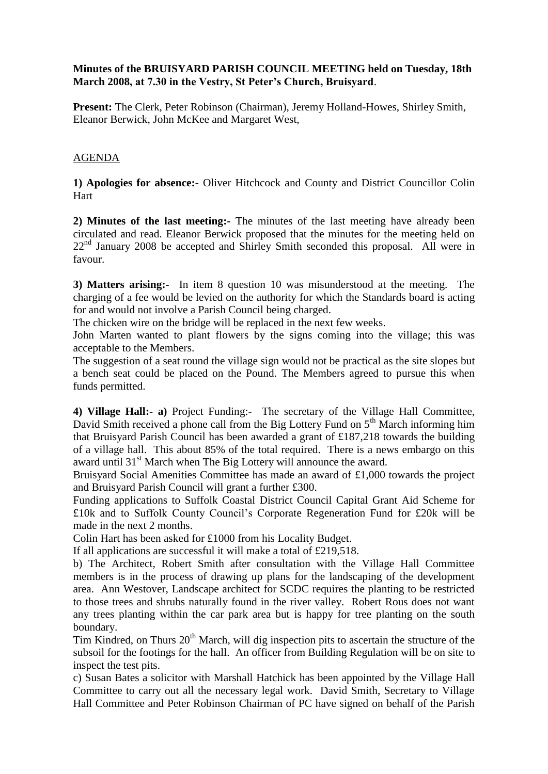## **Minutes of the BRUISYARD PARISH COUNCIL MEETING held on Tuesday, 18th March 2008, at 7.30 in the Vestry, St Peter's Church, Bruisyard**.

**Present:** The Clerk, Peter Robinson (Chairman), Jeremy Holland-Howes, Shirley Smith, Eleanor Berwick, John McKee and Margaret West,

## AGENDA

**1) Apologies for absence:-** Oliver Hitchcock and County and District Councillor Colin Hart

**2) Minutes of the last meeting:-** The minutes of the last meeting have already been circulated and read. Eleanor Berwick proposed that the minutes for the meeting held on  $22<sup>nd</sup>$  January 2008 be accepted and Shirley Smith seconded this proposal. All were in favour.

**3) Matters arising:-** In item 8 question 10 was misunderstood at the meeting. The charging of a fee would be levied on the authority for which the Standards board is acting for and would not involve a Parish Council being charged.

The chicken wire on the bridge will be replaced in the next few weeks.

John Marten wanted to plant flowers by the signs coming into the village; this was acceptable to the Members.

The suggestion of a seat round the village sign would not be practical as the site slopes but a bench seat could be placed on the Pound. The Members agreed to pursue this when funds permitted.

**4) Village Hall:- a)** Project Funding:- The secretary of the Village Hall Committee, David Smith received a phone call from the Big Lottery Fund on  $5<sup>th</sup>$  March informing him that Bruisyard Parish Council has been awarded a grant of £187,218 towards the building of a village hall. This about 85% of the total required. There is a news embargo on this award until 31<sup>st</sup> March when The Big Lottery will announce the award.

Bruisyard Social Amenities Committee has made an award of £1,000 towards the project and Bruisyard Parish Council will grant a further £300.

Funding applications to Suffolk Coastal District Council Capital Grant Aid Scheme for £10k and to Suffolk County Council's Corporate Regeneration Fund for £20k will be made in the next 2 months.

Colin Hart has been asked for £1000 from his Locality Budget.

If all applications are successful it will make a total of £219,518.

b) The Architect, Robert Smith after consultation with the Village Hall Committee members is in the process of drawing up plans for the landscaping of the development area. Ann Westover, Landscape architect for SCDC requires the planting to be restricted to those trees and shrubs naturally found in the river valley. Robert Rous does not want any trees planting within the car park area but is happy for tree planting on the south boundary.

Tim Kindred, on Thurs  $20<sup>th</sup>$  March, will dig inspection pits to ascertain the structure of the subsoil for the footings for the hall. An officer from Building Regulation will be on site to inspect the test pits.

c) Susan Bates a solicitor with Marshall Hatchick has been appointed by the Village Hall Committee to carry out all the necessary legal work. David Smith, Secretary to Village Hall Committee and Peter Robinson Chairman of PC have signed on behalf of the Parish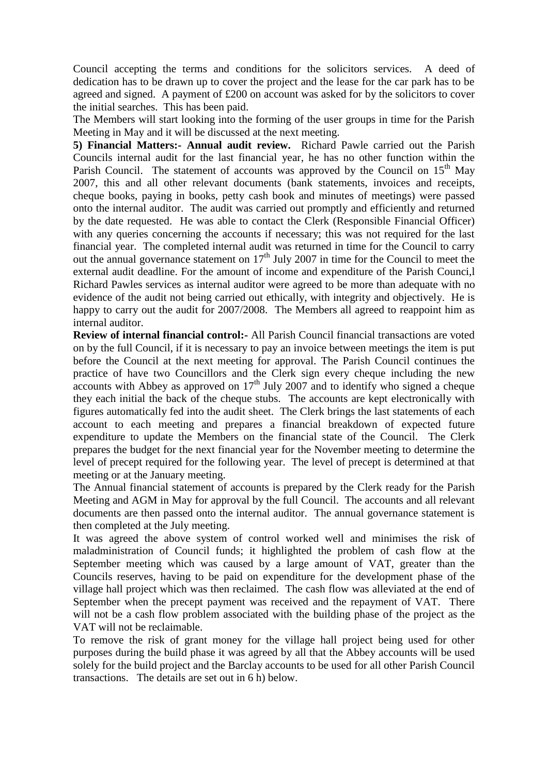Council accepting the terms and conditions for the solicitors services. A deed of dedication has to be drawn up to cover the project and the lease for the car park has to be agreed and signed. A payment of £200 on account was asked for by the solicitors to cover the initial searches. This has been paid.

The Members will start looking into the forming of the user groups in time for the Parish Meeting in May and it will be discussed at the next meeting.

**5) Financial Matters:- Annual audit review.** Richard Pawle carried out the Parish Councils internal audit for the last financial year, he has no other function within the Parish Council. The statement of accounts was approved by the Council on  $15<sup>th</sup>$  May 2007, this and all other relevant documents (bank statements, invoices and receipts, cheque books, paying in books, petty cash book and minutes of meetings) were passed onto the internal auditor. The audit was carried out promptly and efficiently and returned by the date requested. He was able to contact the Clerk (Responsible Financial Officer) with any queries concerning the accounts if necessary; this was not required for the last financial year. The completed internal audit was returned in time for the Council to carry out the annual governance statement on  $17<sup>th</sup>$  July 2007 in time for the Council to meet the external audit deadline. For the amount of income and expenditure of the Parish Counci,l Richard Pawles services as internal auditor were agreed to be more than adequate with no evidence of the audit not being carried out ethically, with integrity and objectively. He is happy to carry out the audit for 2007/2008. The Members all agreed to reappoint him as internal auditor.

**Review of internal financial control:-** All Parish Council financial transactions are voted on by the full Council, if it is necessary to pay an invoice between meetings the item is put before the Council at the next meeting for approval. The Parish Council continues the practice of have two Councillors and the Clerk sign every cheque including the new accounts with Abbey as approved on  $17<sup>th</sup>$  July 2007 and to identify who signed a cheque they each initial the back of the cheque stubs. The accounts are kept electronically with figures automatically fed into the audit sheet. The Clerk brings the last statements of each account to each meeting and prepares a financial breakdown of expected future expenditure to update the Members on the financial state of the Council. The Clerk prepares the budget for the next financial year for the November meeting to determine the level of precept required for the following year. The level of precept is determined at that meeting or at the January meeting.

The Annual financial statement of accounts is prepared by the Clerk ready for the Parish Meeting and AGM in May for approval by the full Council. The accounts and all relevant documents are then passed onto the internal auditor. The annual governance statement is then completed at the July meeting.

It was agreed the above system of control worked well and minimises the risk of maladministration of Council funds; it highlighted the problem of cash flow at the September meeting which was caused by a large amount of VAT, greater than the Councils reserves, having to be paid on expenditure for the development phase of the village hall project which was then reclaimed. The cash flow was alleviated at the end of September when the precept payment was received and the repayment of VAT. There will not be a cash flow problem associated with the building phase of the project as the VAT will not be reclaimable.

To remove the risk of grant money for the village hall project being used for other purposes during the build phase it was agreed by all that the Abbey accounts will be used solely for the build project and the Barclay accounts to be used for all other Parish Council transactions. The details are set out in 6 h) below.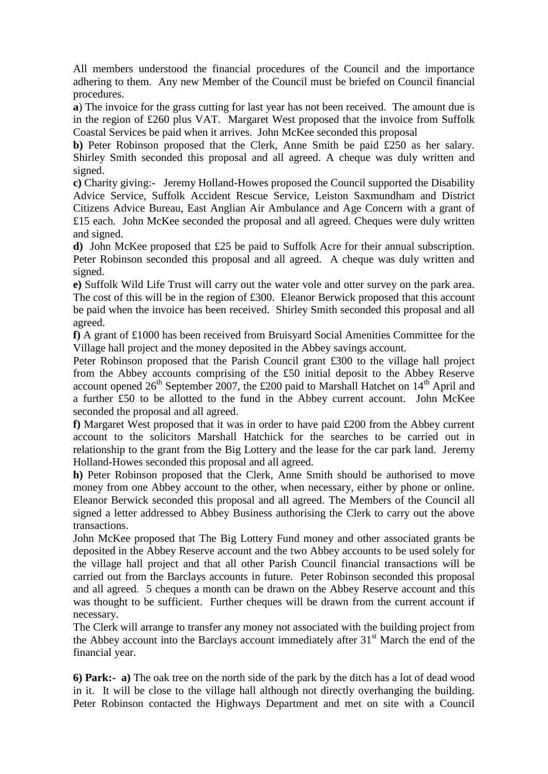All members understood the financial procedures of the Council and the importance adhering to them. Any new Member of the Council must be briefed on Council financial procedures.

**a**) The invoice for the grass cutting for last year has not been received. The amount due is in the region of £260 plus VAT. Margaret West proposed that the invoice from Suffolk Coastal Services be paid when it arrives. John McKee seconded this proposal

**b)** Peter Robinson proposed that the Clerk, Anne Smith be paid £250 as her salary. Shirley Smith seconded this proposal and all agreed. A cheque was duly written and signed.

**c)** Charity giving:- Jeremy Holland-Howes proposed the Council supported the Disability Advice Service, Suffolk Accident Rescue Service, Leiston Saxmundham and District Citizens Advice Bureau, East Anglian Air Ambulance and Age Concern with a grant of £15 each. John McKee seconded the proposal and all agreed. Cheques were duly written and signed.

**d)** John McKee proposed that £25 be paid to Suffolk Acre for their annual subscription. Peter Robinson seconded this proposal and all agreed. A cheque was duly written and signed.

**e)** Suffolk Wild Life Trust will carry out the water vole and otter survey on the park area. The cost of this will be in the region of £300. Eleanor Berwick proposed that this account be paid when the invoice has been received. Shirley Smith seconded this proposal and all agreed.

**f)** A grant of £1000 has been received from Bruisyard Social Amenities Committee for the Village hall project and the money deposited in the Abbey savings account.

Peter Robinson proposed that the Parish Council grant £300 to the village hall project from the Abbey accounts comprising of the £50 initial deposit to the Abbey Reserve account opened  $26<sup>th</sup>$  September 2007, the £200 paid to Marshall Hatchet on  $14<sup>th</sup>$  April and a further £50 to be allotted to the fund in the Abbey current account. John McKee seconded the proposal and all agreed.

**f)** Margaret West proposed that it was in order to have paid £200 from the Abbey current account to the solicitors Marshall Hatchick for the searches to be carried out in relationship to the grant from the Big Lottery and the lease for the car park land. Jeremy Holland-Howes seconded this proposal and all agreed.

**h)** Peter Robinson proposed that the Clerk, Anne Smith should be authorised to move money from one Abbey account to the other, when necessary, either by phone or online. Eleanor Berwick seconded this proposal and all agreed. The Members of the Council all signed a letter addressed to Abbey Business authorising the Clerk to carry out the above transactions.

John McKee proposed that The Big Lottery Fund money and other associated grants be deposited in the Abbey Reserve account and the two Abbey accounts to be used solely for the village hall project and that all other Parish Council financial transactions will be carried out from the Barclays accounts in future. Peter Robinson seconded this proposal and all agreed. 5 cheques a month can be drawn on the Abbey Reserve account and this was thought to be sufficient. Further cheques will be drawn from the current account if necessary.

The Clerk will arrange to transfer any money not associated with the building project from the Abbey account into the Barclays account immediately after  $31<sup>st</sup>$  March the end of the financial year.

**6) Park:- a)** The oak tree on the north side of the park by the ditch has a lot of dead wood in it. It will be close to the village hall although not directly overhanging the building. Peter Robinson contacted the Highways Department and met on site with a Council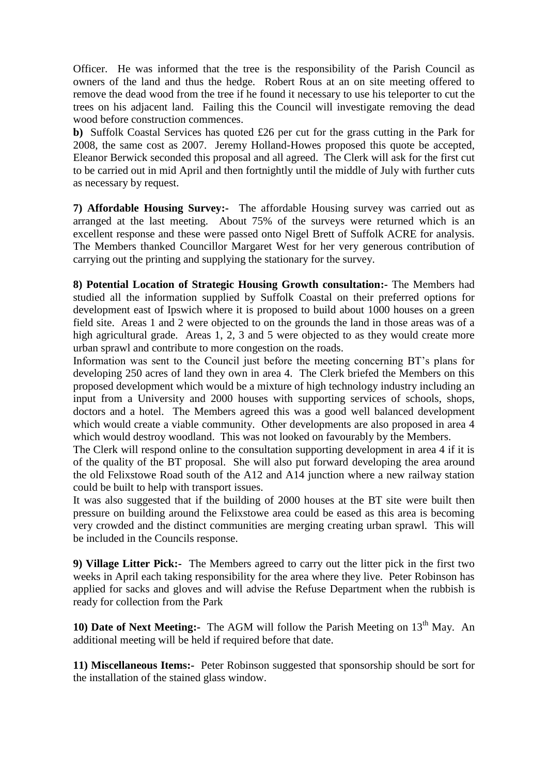Officer. He was informed that the tree is the responsibility of the Parish Council as owners of the land and thus the hedge. Robert Rous at an on site meeting offered to remove the dead wood from the tree if he found it necessary to use his teleporter to cut the trees on his adjacent land. Failing this the Council will investigate removing the dead wood before construction commences.

**b)** Suffolk Coastal Services has quoted £26 per cut for the grass cutting in the Park for 2008, the same cost as 2007. Jeremy Holland-Howes proposed this quote be accepted, Eleanor Berwick seconded this proposal and all agreed. The Clerk will ask for the first cut to be carried out in mid April and then fortnightly until the middle of July with further cuts as necessary by request.

**7) Affordable Housing Survey:-** The affordable Housing survey was carried out as arranged at the last meeting. About 75% of the surveys were returned which is an excellent response and these were passed onto Nigel Brett of Suffolk ACRE for analysis. The Members thanked Councillor Margaret West for her very generous contribution of carrying out the printing and supplying the stationary for the survey.

**8) Potential Location of Strategic Housing Growth consultation:-** The Members had studied all the information supplied by Suffolk Coastal on their preferred options for development east of Ipswich where it is proposed to build about 1000 houses on a green field site. Areas 1 and 2 were objected to on the grounds the land in those areas was of a high agricultural grade. Areas 1, 2, 3 and 5 were objected to as they would create more urban sprawl and contribute to more congestion on the roads.

Information was sent to the Council just before the meeting concerning BT's plans for developing 250 acres of land they own in area 4. The Clerk briefed the Members on this proposed development which would be a mixture of high technology industry including an input from a University and 2000 houses with supporting services of schools, shops, doctors and a hotel. The Members agreed this was a good well balanced development which would create a viable community. Other developments are also proposed in area 4 which would destroy woodland. This was not looked on favourably by the Members.

The Clerk will respond online to the consultation supporting development in area 4 if it is of the quality of the BT proposal. She will also put forward developing the area around the old Felixstowe Road south of the A12 and A14 junction where a new railway station could be built to help with transport issues.

It was also suggested that if the building of 2000 houses at the BT site were built then pressure on building around the Felixstowe area could be eased as this area is becoming very crowded and the distinct communities are merging creating urban sprawl. This will be included in the Councils response.

**9) Village Litter Pick:-** The Members agreed to carry out the litter pick in the first two weeks in April each taking responsibility for the area where they live. Peter Robinson has applied for sacks and gloves and will advise the Refuse Department when the rubbish is ready for collection from the Park

**10) Date of Next Meeting:-** The AGM will follow the Parish Meeting on 13<sup>th</sup> May. An additional meeting will be held if required before that date.

**11) Miscellaneous Items:-** Peter Robinson suggested that sponsorship should be sort for the installation of the stained glass window.